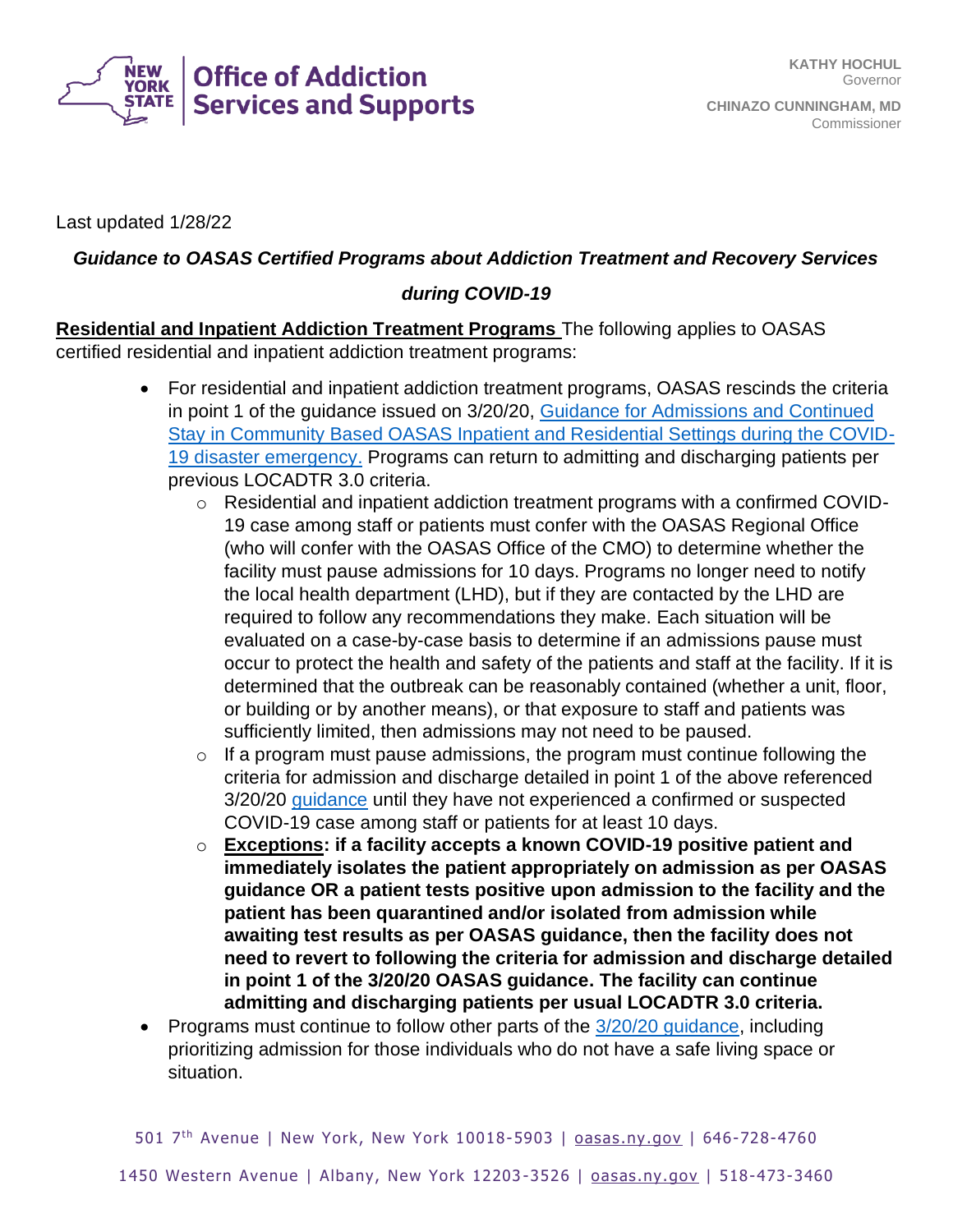

Last updated 1/28/22

## *Guidance to OASAS Certified Programs about Addiction Treatment and Recovery Services*

## *during COVID-19*

**Residential and Inpatient Addiction Treatment Programs** The following applies to OASAS certified residential and inpatient addiction treatment programs:

- For residential and inpatient addiction treatment programs, OASAS rescinds the criteria in point 1 of the guidance issued on 3/20/20, [Guidance for Admissions and Continued](https://oasas.ny.gov/guidance-residential-providers-covid-19)  [Stay in Community Based OASAS Inpatient and Residential Settings during the COVID-](https://oasas.ny.gov/guidance-residential-providers-covid-19)[19 disaster emergency.](https://oasas.ny.gov/guidance-residential-providers-covid-19) Programs can return to admitting and discharging patients per previous LOCADTR 3.0 criteria.
	- o Residential and inpatient addiction treatment programs with a confirmed COVID-19 case among staff or patients must confer with the OASAS Regional Office (who will confer with the OASAS Office of the CMO) to determine whether the facility must pause admissions for 10 days. Programs no longer need to notify the local health department (LHD), but if they are contacted by the LHD are required to follow any recommendations they make. Each situation will be evaluated on a case-by-case basis to determine if an admissions pause must occur to protect the health and safety of the patients and staff at the facility. If it is determined that the outbreak can be reasonably contained (whether a unit, floor, or building or by another means), or that exposure to staff and patients was sufficiently limited, then admissions may not need to be paused.
	- $\circ$  If a program must pause admissions, the program must continue following the criteria for admission and discharge detailed in point 1 of the above referenced 3/20/20 [guidance](/guidance-residential-providers-covid-19) until they have not experienced a confirmed or suspected COVID-19 case among staff or patients for at least 10 days.
	- o **Exceptions: if a facility accepts a known COVID-19 positive patient and immediately isolates the patient appropriately on admission as per OASAS guidance OR a patient tests positive upon admission to the facility and the patient has been quarantined and/or isolated from admission while awaiting test results as per OASAS guidance, then the facility does not need to revert to following the criteria for admission and discharge detailed in point 1 of the 3/20/20 OASAS guidance. The facility can continue admitting and discharging patients per usual LOCADTR 3.0 criteria.**
- Programs must continue to follow other parts of the [3/20/20 guidance,](https://oasas.ny.gov/guidance-residential-providers-covid-19) including prioritizing admission for those individuals who do not have a safe living space or situation.

501 7<sup>th</sup> Avenue | New York, New York 10018-5903 | **oasas.ny.gov | 646-728-4760**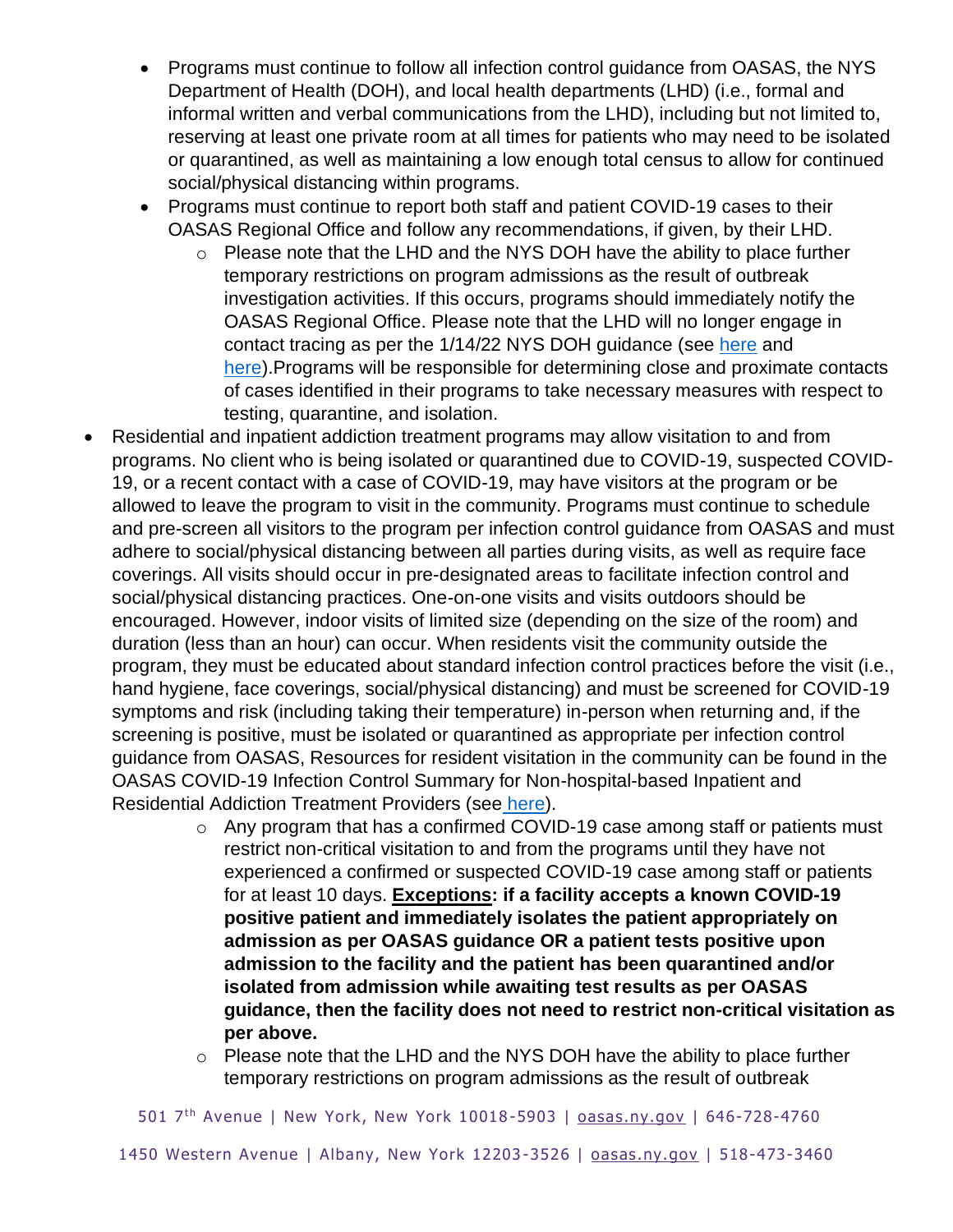- Programs must continue to follow all infection control guidance from OASAS, the NYS Department of Health (DOH), and local health departments (LHD) (i.e., formal and informal written and verbal communications from the LHD), including but not limited to, reserving at least one private room at all times for patients who may need to be isolated or quarantined, as well as maintaining a low enough total census to allow for continued social/physical distancing within programs.
- Programs must continue to report both staff and patient COVID-19 cases to their OASAS Regional Office and follow any recommendations, if given, by their LHD.
	- o Please note that the LHD and the NYS DOH have the ability to place further temporary restrictions on program admissions as the result of outbreak investigation activities. If this occurs, programs should immediately notify the OASAS Regional Office. Please note that the LHD will no longer engage in contact tracing as per the 1/14/22 NYS DOH guidance (see [here](https://coronavirus.health.ny.gov/system/files/documents/2022/01/IsolationQuarantineFAQ_1.14.22.pdf) and [here\)](https://coronavirus.health.ny.gov/system/files/documents/2022/01/CT_FAQ%20for%20Employers_1.14.22.pdf). Programs will be responsible for determining close and proximate contacts of cases identified in their programs to take necessary measures with respect to testing, quarantine, and isolation.
- Residential and inpatient addiction treatment programs may allow visitation to and from programs. No client who is being isolated or quarantined due to COVID-19, suspected COVID-19, or a recent contact with a case of COVID-19, may have visitors at the program or be allowed to leave the program to visit in the community. Programs must continue to schedule and pre-screen all visitors to the program per infection control guidance from OASAS and must adhere to social/physical distancing between all parties during visits, as well as require face coverings. All visits should occur in pre-designated areas to facilitate infection control and social/physical distancing practices. One-on-one visits and visits outdoors should be encouraged. However, indoor visits of limited size (depending on the size of the room) and duration (less than an hour) can occur. When residents visit the community outside the program, they must be educated about standard infection control practices before the visit (i.e., hand hygiene, face coverings, social/physical distancing) and must be screened for COVID-19 symptoms and risk (including taking their temperature) in-person when returning and, if the screening is positive, must be isolated or quarantined as appropriate per infection control guidance from OASAS, Resources for resident visitation in the community can be found in the OASAS COVID-19 Infection Control Summary for Non-hospital-based Inpatient and Residential Addiction Treatment Providers (see [here\)](https://oasas.ny.gov/oasas-treatment-residential).
	- o Any program that has a confirmed COVID-19 case among staff or patients must restrict non-critical visitation to and from the programs until they have not experienced a confirmed or suspected COVID-19 case among staff or patients for at least 10 days. **Exceptions: if a facility accepts a known COVID-19 positive patient and immediately isolates the patient appropriately on admission as per OASAS guidance OR a patient tests positive upon admission to the facility and the patient has been quarantined and/or isolated from admission while awaiting test results as per OASAS guidance, then the facility does not need to restrict non-critical visitation as per above.**
	- o Please note that the LHD and the NYS DOH have the ability to place further temporary restrictions on program admissions as the result of outbreak

501 7<sup>th</sup> Avenue | New York, New York 10018-5903 | **oasas.ny.gov | 646-728-4760** 

1450 Western Avenue | Albany, New York 12203 -3526 | [oasas.ny.gov](http://www.oasas.ny.gov/) | 518-473-3460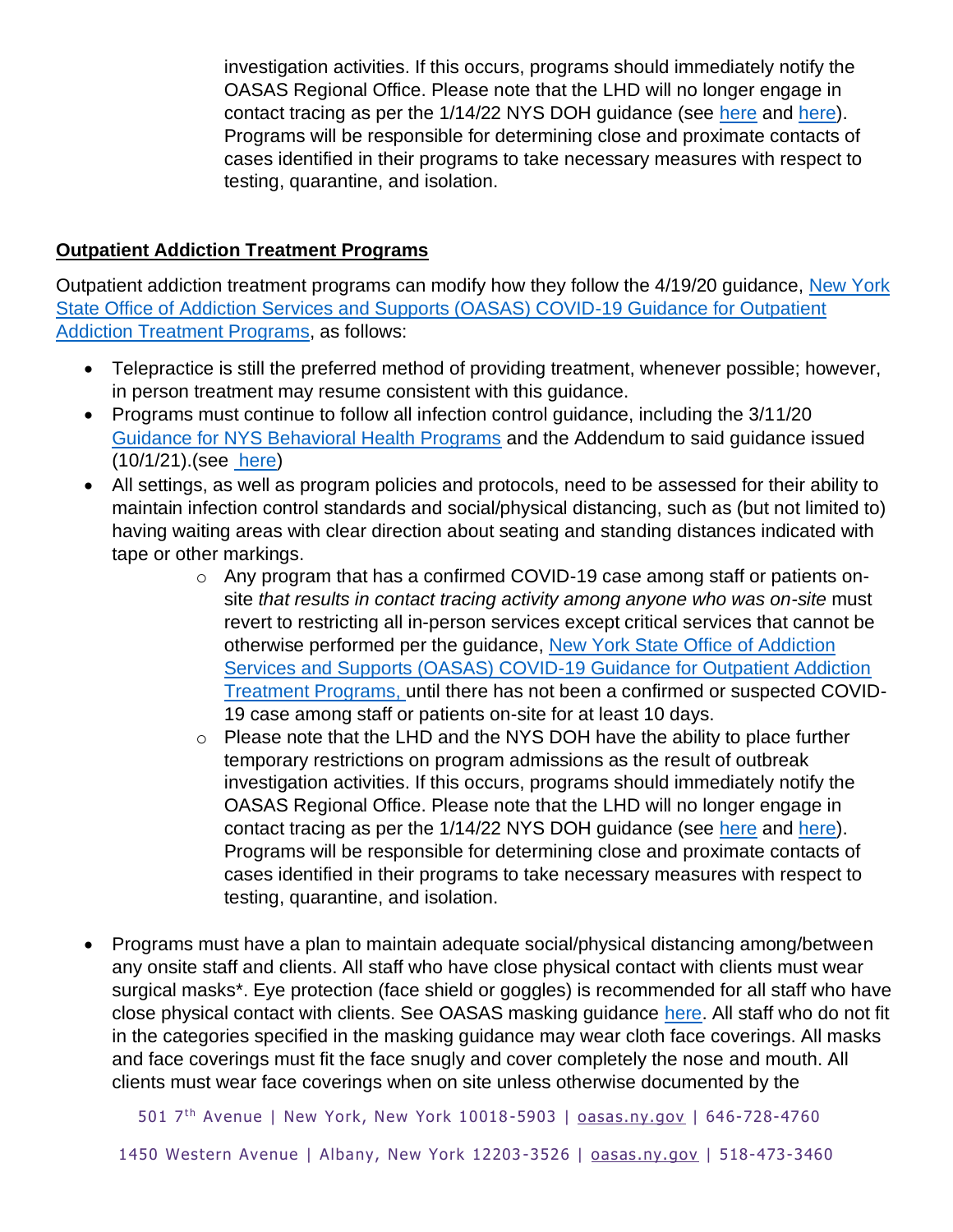investigation activities. If this occurs, programs should immediately notify the OASAS Regional Office. Please note that the LHD will no longer engage in contact tracing as per the 1/14/22 NYS DOH guidance (see [here](https://coronavirus.health.ny.gov/system/files/documents/2022/01/IsolationQuarantineFAQ_1.14.22.pdf) and [here\)](https://coronavirus.health.ny.gov/system/files/documents/2022/01/CT_FAQ%20for%20Employers_1.14.22.pdf). Programs will be responsible for determining close and proximate contacts of cases identified in their programs to take necessary measures with respect to testing, quarantine, and isolation.

## **Outpatient Addiction Treatment Programs**

Outpatient addiction treatment programs can modify how they follow the 4/19/20 guidance, [New York](http://oasas.ny.gov/covid-19-guidance-outpatient-programs)  [State Office of Addiction Services and Supports \(OASAS\) COVID-19 Guidance for Outpatient](http://oasas.ny.gov/covid-19-guidance-outpatient-programs)  [Addiction Treatment Programs,](http://oasas.ny.gov/covid-19-guidance-outpatient-programs) as follows:

- Telepractice is still the preferred method of providing treatment, whenever possible; however, in person treatment may resume consistent with this guidance.
- Programs must continue to follow all infection control guidance, including the 3/11/20 [Guidance for NYS Behavioral Health Programs](/covid-19-guidance-march-7-2020) and the Addendum to said guidance issued (10/1/21).(see [here\)](http://oasas.ny.gov/covid-19-guidance-outpatient-programs)
- All settings, as well as program policies and protocols, need to be assessed for their ability to maintain infection control standards and social/physical distancing, such as (but not limited to) having waiting areas with clear direction about seating and standing distances indicated with tape or other markings.
	- o Any program that has a confirmed COVID-19 case among staff or patients onsite *that results in contact tracing activity among anyone who was on-site* must revert to restricting all in-person services except critical services that cannot be otherwise performed per the guidance, [New York State Office of Addiction](http://oasas.ny.gov/covid-19-guidance-outpatient-programs)  [Services and Supports \(OASAS\) COVID-19 Guidance for Outpatient Addiction](http://oasas.ny.gov/covid-19-guidance-outpatient-programs) [Treatment Programs,](http://oasas.ny.gov/covid-19-guidance-outpatient-programs) until there has not been a confirmed or suspected COVID-19 case among staff or patients on-site for at least 10 days.
	- o Please note that the LHD and the NYS DOH have the ability to place further temporary restrictions on program admissions as the result of outbreak investigation activities. If this occurs, programs should immediately notify the OASAS Regional Office. Please note that the LHD will no longer engage in contact tracing as per the 1/14/22 NYS DOH guidance (see [here](https://coronavirus.health.ny.gov/system/files/documents/2022/01/IsolationQuarantineFAQ_1.14.22.pdf) and [here\)](https://coronavirus.health.ny.gov/system/files/documents/2022/01/CT_FAQ%20for%20Employers_1.14.22.pdf). Programs will be responsible for determining close and proximate contacts of cases identified in their programs to take necessary measures with respect to testing, quarantine, and isolation.
- Programs must have a plan to maintain adequate social/physical distancing among/between any onsite staff and clients. All staff who have close physical contact with clients must wear surgical masks\*. Eye protection (face shield or goggles) is recommended for all staff who have close physical contact with clients. See OASAS masking guidance [here.](/guidance-mask-wearing-requirements) All staff who do not fit in the categories specified in the masking guidance may wear cloth face coverings. All masks and face coverings must fit the face snugly and cover completely the nose and mouth. All clients must wear face coverings when on site unless otherwise documented by the

501 7<sup>th</sup> Avenue | New York, New York 10018-5903 | **oasas.ny.gov | 646-728-4760**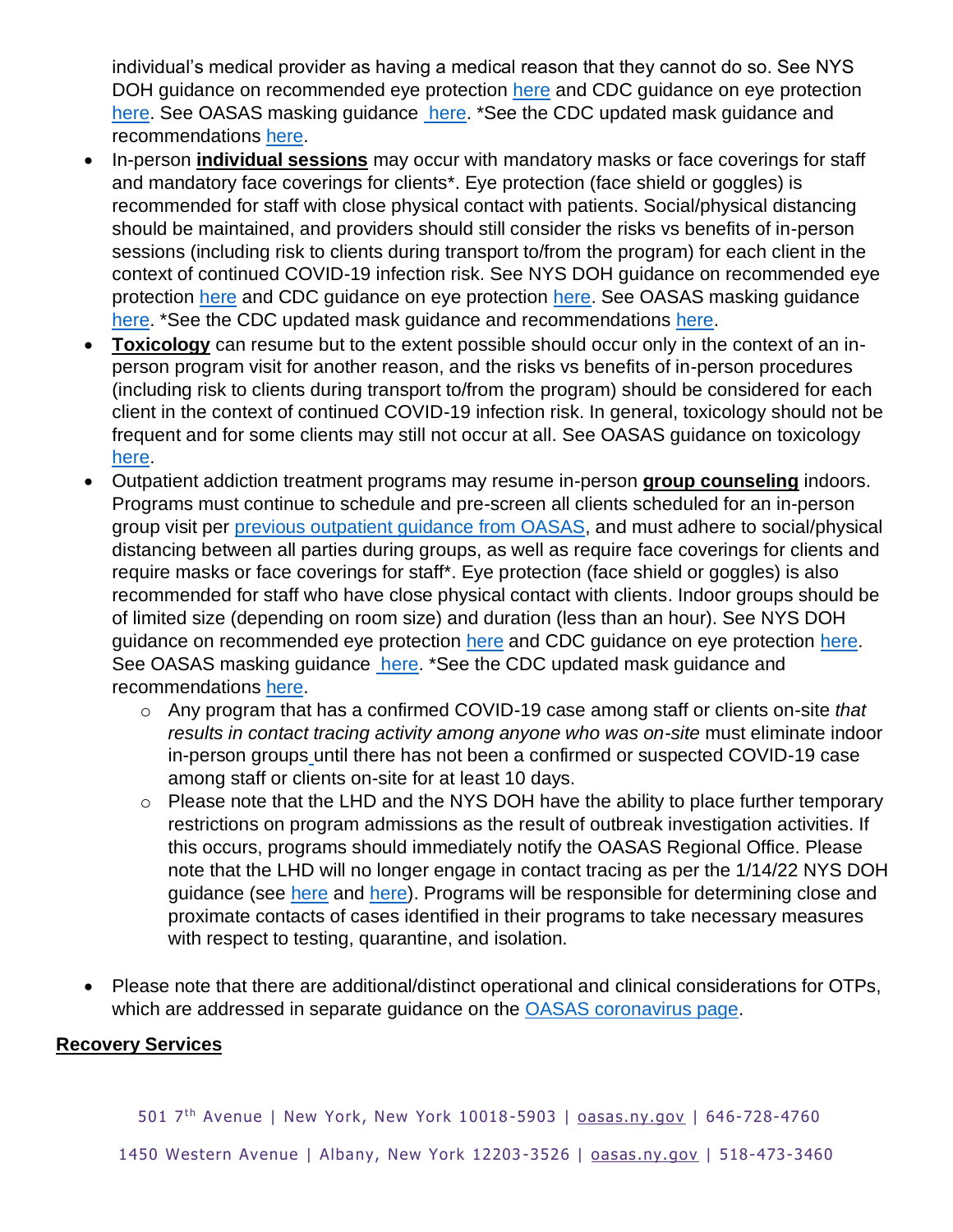individual's medical provider as having a medical reason that they cannot do so. See NYS DOH guidance on recommended eye protection [here](https://coronavirus.health.ny.gov/system/files/documents/2020/11/hcp_eye_protection_guidance_112520.pdf) and CDC guidance on eye protection [here.](https://oasas.ny.gov/system/files/documents/2021/12/masking-guidance.pdf) See OASAS masking guidance here. \*See the CDC updated mask guidance and recommendations [here.](https://www.cdc.gov/coronavirus/2019-ncov/prevent-getting-sick/types-of-masks.html)

- In-person **individual sessions** may occur with mandatory masks or face coverings for staff and mandatory face coverings for clients\*. Eye protection (face shield or goggles) is recommended for staff with close physical contact with patients. Social/physical distancing should be maintained, and providers should still consider the risks vs benefits of in-person sessions (including risk to clients during transport to/from the program) for each client in the context of continued COVID-19 infection risk. See NYS DOH guidance on recommended eye protection [here](https://coronavirus.health.ny.gov/system/files/documents/2020/11/hcp_eye_protection_guidance_112520.pdf) and CDC guidance on eye protection [here.](https://www.cdc.gov/coronavirus/2019-ncov/hcp/infection-control-recommendations.html?CDC_AA_refVal=https%3A%2F%2Fwww.cdc.gov%2Fcoronavirus%2F2019-ncov%2Finfection-control%2Fcontrol-recommendations.html#anchor_1604360738701) See OASAS masking guidance [here.](https://oasas.ny.gov/guidance-mask-wearing-requirements) \*See the CDC updated mask guidance and recommendations [here.](https://www.cdc.gov/coronavirus/2019-ncov/prevent-getting-sick/types-of-masks.html)
- **Toxicology** can resume but to the extent possible should occur only in the context of an inperson program visit for another reason, and the risks vs benefits of in-person procedures (including risk to clients during transport to/from the program) should be considered for each client in the context of continued COVID-19 infection risk. In general, toxicology should not be frequent and for some clients may still not occur at all. See OASAS guidance on toxicology [here.](/guidance-toxicology-use-oasas-certified-programs)
- Outpatient addiction treatment programs may resume in-person **group counseling** indoors. Programs must continue to schedule and pre-screen all clients scheduled for an in-person group visit per [previous outpatient guidance from OASAS,](http://oasas.ny.gov/covid-19-guidance-outpatient-programs) and must adhere to social/physical distancing between all parties during groups, as well as require [face coverings](https://coronavirus.health.ny.gov/system/files/documents/2020/04/doh_covid19_eo20217-20218publicfacecovering_041720.pdf) for clients and require masks or face coverings for staff\*. Eye protection (face shield or goggles) is also recommended for staff who have close physical contact with clients. Indoor groups should be of limited size (depending on room size) and duration (less than an hour). See NYS DOH guidance on recommended eye protection [here](https://coronavirus.health.ny.gov/system/files/documents/2020/11/hcp_eye_protection_guidance_112520.pdf) and CDC guidance on eye protection [here.](https://www.cdc.gov/coronavirus/2019-ncov/hcp/infection-control-recommendations.html?CDC_AA_refVal=https%3A%2F%2Fwww.cdc.gov%2Fcoronavirus%2F2019-ncov%2Finfection-control%2Fcontrol-recommendations.html#anchor_1604360738701) See OASAS masking guidance [here.](https://oasas.ny.gov/guidance-mask-wearing-requirements) \*See the CDC updated mask guidance and recommendations [here.](https://www.cdc.gov/coronavirus/2019-ncov/prevent-getting-sick/types-of-masks.html)
	- o Any program that has a confirmed COVID-19 case among staff or clients on-site *that results in contact tracing activity among anyone who was on-site* must eliminate indoor in-person groups until there has not been a confirmed or suspected COVID-19 case among staff or clients on-site for at least 10 days.
	- o Please note that the LHD and the NYS DOH have the ability to place further temporary restrictions on program admissions as the result of outbreak investigation activities. If this occurs, programs should immediately notify the OASAS Regional Office. Please note that the LHD will no longer engage in contact tracing as per the 1/14/22 NYS DOH guidance (see [here](https://coronavirus.health.ny.gov/system/files/documents/2022/01/IsolationQuarantineFAQ_1.14.22.pdf) and [here\)](https://coronavirus.health.ny.gov/system/files/documents/2022/01/CT_FAQ%20for%20Employers_1.14.22.pdf). Programs will be responsible for determining close and proximate contacts of cases identified in their programs to take necessary measures with respect to testing, quarantine, and isolation.
- Please note that there are additional/distinct operational and clinical considerations for OTPs, which are addressed in separate guidance on the [OASAS coronavirus page.](https://oasas.ny.gov/keywords/coronavirus)

## **Recovery Services**

501 7<sup>th</sup> Avenue | New York, New York 10018-5903 | [oasas.ny.gov](http://www.oasas.ny.gov/) | 646-728-4760

1450 Western Avenue | Albany, New York 12203 -3526 | [oasas.ny.gov](http://www.oasas.ny.gov/) | 518-473-3460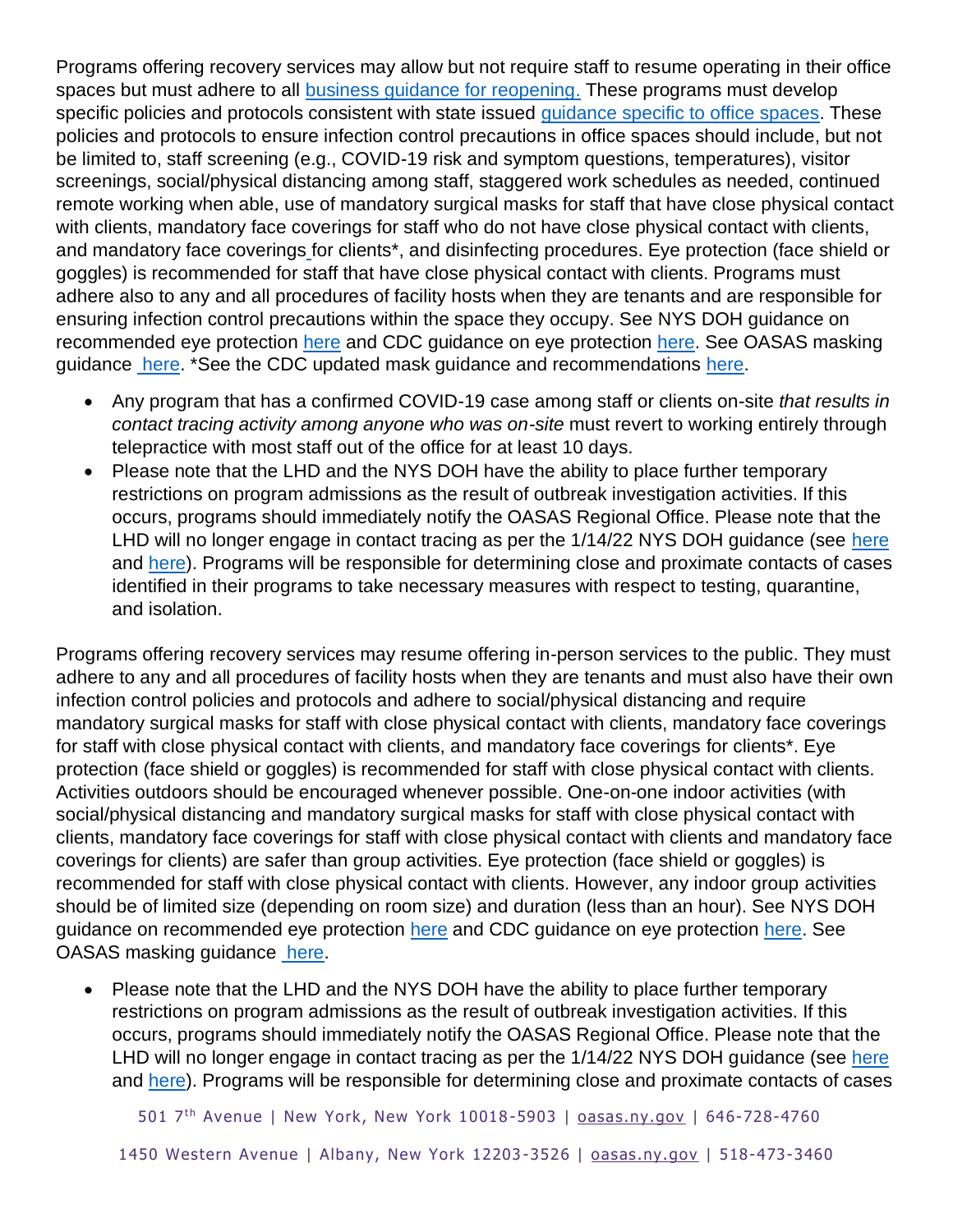Programs offering recovery services may allow but not require staff to resume operating in their office spaces but must adhere to all [business guidance for reopening.](https://forward.ny.gov/phase-two-industries) These programs must develop specific policies and protocols consistent with state issued quidance specific to office spaces. These policies and protocols to ensure infection control precautions in office spaces should include, but not be limited to, staff screening (e.g., COVID-19 risk and symptom questions, temperatures), visitor screenings, social/physical distancing among staff, staggered work schedules as needed, continued remote working when able, use of mandatory surgical masks for staff that have close physical contact with clients, mandatory face coverings for staff who do not have close physical contact with clients, and mandatory face coverings for clients\*, and disinfecting procedures. Eye protection (face shield or goggles) is recommended for staff that have close physical contact with clients. Programs must adhere also to any and all procedures of facility hosts when they are tenants and are responsible for ensuring infection control precautions within the space they occupy. See NYS DOH guidance on recommended eye protection [here](https://coronavirus.health.ny.gov/system/files/documents/2020/11/hcp_eye_protection_guidance_112520.pdf) and CDC quidance on eye protection [here.](https://www.cdc.gov/coronavirus/2019-ncov/hcp/infection-control-recommendations.html?CDC_AA_refVal=https%3A%2F%2Fwww.cdc.gov%2Fcoronavirus%2F2019-ncov%2Finfection-control%2Fcontrol-recommendations.html#anchor_1604360738701) See OASAS masking guidance [here.](https://oasas.ny.gov/guidance-mask-wearing-requirements) \*See the CDC updated mask guidance and recommendations [here.](https://www.cdc.gov/coronavirus/2019-ncov/prevent-getting-sick/types-of-masks.html)

- Any program that has a confirmed COVID-19 case among staff or clients on-site *that results in contact tracing activity among anyone who was on-site* must revert to working entirely through telepractice with most staff out of the office for at least 10 days.
- Please note that the LHD and the NYS DOH have the ability to place further temporary restrictions on program admissions as the result of outbreak investigation activities. If this occurs, programs should immediately notify the OASAS Regional Office. Please note that the LHD will no longer engage in contact tracing as per the 1/14/22 NYS DOH guidance (see [here](https://coronavirus.health.ny.gov/system/files/documents/2022/01/IsolationQuarantineFAQ_1.14.22.pdf) and [here\)](https://coronavirus.health.ny.gov/system/files/documents/2022/01/CT_FAQ%20for%20Employers_1.14.22.pdf). Programs will be responsible for determining close and proximate contacts of cases identified in their programs to take necessary measures with respect to testing, quarantine, and isolation.

Programs offering recovery services may resume offering in-person services to the public. They must adhere to any and all procedures of facility hosts when they are tenants and must also have their own infection control policies and protocols and adhere to social/physical distancing and require mandatory surgical masks for staff with close physical contact with clients, mandatory face coverings for staff with close physical contact with clients, and mandatory face coverings for clients\*. Eye protection (face shield or goggles) is recommended for staff with close physical contact with clients. Activities outdoors should be encouraged whenever possible. One-on-one indoor activities (with social/physical distancing and mandatory surgical masks for staff with close physical contact with clients, mandatory face coverings for staff with close physical contact with clients and mandatory face coverings for clients) are safer than group activities. Eye protection (face shield or goggles) is recommended for staff with close physical contact with clients. However, any indoor group activities should be of limited size (depending on room size) and duration (less than an hour). See NYS DOH guidance on recommended eye protection [here](https://coronavirus.health.ny.gov/system/files/documents/2020/11/hcp_eye_protection_guidance_112520.pdf) and CDC guidance on eye protection [here.](https://www.cdc.gov/coronavirus/2019-ncov/hcp/infection-control-recommendations.html?CDC_AA_refVal=https%3A%2F%2Fwww.cdc.gov%2Fcoronavirus%2F2019-ncov%2Finfection-control%2Fcontrol-recommendations.html#anchor_1604360738701) See OASAS masking guidance [here.](https://oasas.ny.gov/system/files/documents/2021/12/masking-guidance.pdf)

• Please note that the LHD and the NYS DOH have the ability to place further temporary restrictions on program admissions as the result of outbreak investigation activities. If this occurs, programs should immediately notify the OASAS Regional Office. Please note that the LHD will no longer engage in contact tracing as per the  $1/14/22$  NYS DOH guidance (see [here](https://coronavirus.health.ny.gov/system/files/documents/2022/01/IsolationQuarantineFAQ_1.14.22.pdf) and [here\)](https://coronavirus.health.ny.gov/system/files/documents/2022/01/CT_FAQ%20for%20Employers_1.14.22.pdf). Programs will be responsible for determining close and proximate contacts of cases